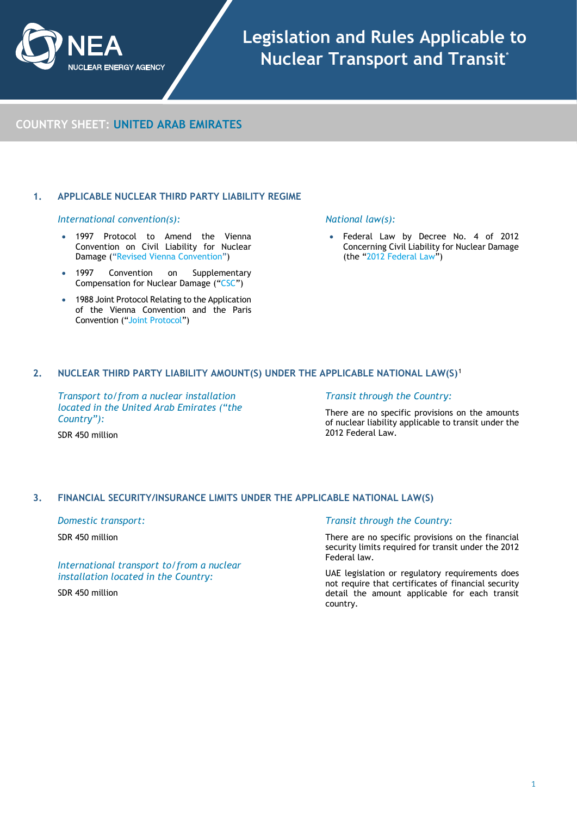

**COUNTRY SHEET: UNITED ARAB EMIRATES**

# **1. APPLICABLE NUCLEAR THIRD PARTY LIABILITY REGIME**

## *International convention(s):*

- 1997 Protocol to Amend the Vienna Convention on Civil Liability for Nuclear Damage (["Revised Vienna Convention"](https://www.iaea.org/topics/nuclear-liability-conventions/vienna-convention-on-civil-liability-for-nuclear-damage))
- 1997 Convention on Supplementary Compensation for Nuclear Damage (["CSC"](https://www.iaea.org/topics/nuclear-liability-conventions/convention-supplementary-compensation-nuclear-damage))
- 1988 Joint Protocol Relating to the Application of the Vienna Convention and the Paris Convention (["Joint Protocol"](https://www.iaea.org/topics/nuclear-liability-conventions/joint-protocol-relating-to-application-of-vienna-convention-and-paris-convention))

## *National law(s):*

Federal Law by Decree No. 4 of 2012 Concerning Civil Liability for Nuclear Damage (the "2012 [Federal Law"](https://www.fanr.gov.ae/en/Lists/LawOfNuclear/Attachments/3/Federal-Law-by-Decree-No-4-of-2012-Concerning-Civil-Liability-for-Nuclear-Damage-English.pdf))

# **2. NUCLEAR THIRD PARTY LIABILITY AMOUNT(S) UNDER THE APPLICABLE NATIONAL LAW(S)**[1](#page-3-1)

*Transport to/from a nuclear installation located in the United Arab Emirates ("the Country"):*

#### *Transit through the Country:*

There are no specific provisions on the amounts of nuclear liability applicable to transit under the 2012 Federal Law.

SDR 450 million

# **3. FINANCIAL SECURITY/INSURANCE LIMITS UNDER THE APPLICABLE NATIONAL LAW(S)**

*Domestic transport:* 

SDR 450 million

*International transport to/from a nuclear installation located in the Country:* 

SDR 450 million

## *Transit through the Country:*

There are no specific provisions on the financial security limits required for transit under the 2012 Federal law.

UAE legislation or regulatory requirements does not require that certificates of financial security detail the amount applicable for each transit country.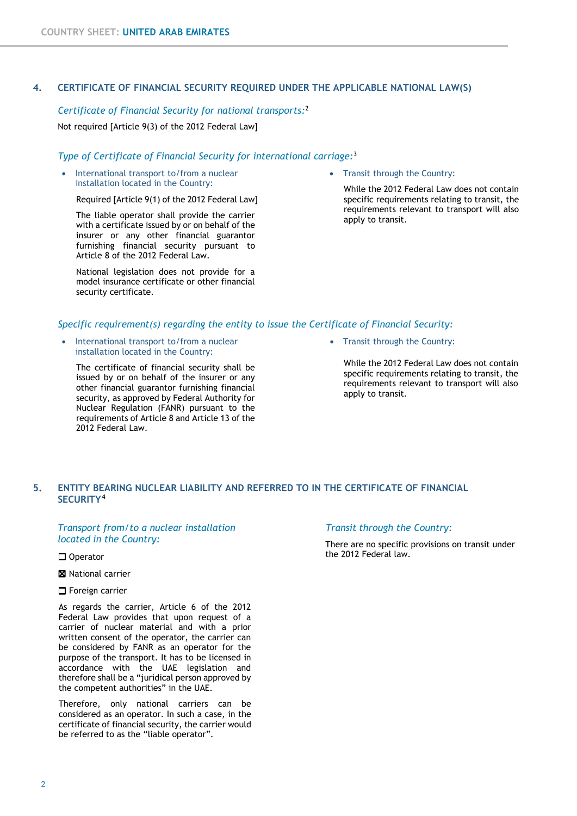# **4. CERTIFICATE OF FINANCIAL SECURITY REQUIRED UNDER THE APPLICABLE NATIONAL LAW(S)**

# *Certificate of Financial Security for national transports:*[2](#page-3-3)

Not required [Article 9(3) of the 2012 Federal Law]

## *Type of Certificate of Financial Security for international carriage:*[3](#page-3-4)

• International transport to/from a nuclear installation located in the Country:

Required [Article 9(1) of the 2012 Federal Law]

The liable operator shall provide the carrier with a certificate issued by or on behalf of the insurer or any other financial guarantor furnishing financial security pursuant to Article 8 of the 2012 Federal Law.

National legislation does not provide for a model insurance certificate or other financial security certificate.

• Transit through the Country:

While the 2012 Federal Law does not contain specific requirements relating to transit, the requirements relevant to transport will also apply to transit.

# *Specific requirement(s) regarding the entity to issue the Certificate of Financial Security:*

• International transport to/from a nuclear installation located in the Country:

The certificate of financial security shall be issued by or on behalf of the insurer or any other financial guarantor furnishing financial security, as approved by Federal Authority for Nuclear Regulation (FANR) pursuant to the requirements of Article 8 and Article 13 of the 2012 Federal Law.

• Transit through the Country:

While the 2012 Federal Law does not contain specific requirements relating to transit, the requirements relevant to transport will also apply to transit.

# **5. ENTITY BEARING NUCLEAR LIABILITY AND REFERRED TO IN THE CERTIFICATE OF FINANCIAL SECURITY[4](#page-3-5)**

## *Transport from/to a nuclear installation located in the Country:*

□ Operator

- **X** National carrier
- **O** Foreign carrier

As regards the carrier, Article 6 of the 2012 Federal Law provides that upon request of a carrier of nuclear material and with a prior written consent of the operator, the carrier can be considered by FANR as an operator for the purpose of the transport. It has to be licensed in accordance with the UAE legislation and therefore shall be a "juridical person approved by the competent authorities" in the UAE.

Therefore, only national carriers can be considered as an operator. In such a case, in the certificate of financial security, the carrier would be referred to as the "liable operator".

## *Transit through the Country:*

There are no specific provisions on transit under the 2012 Federal law.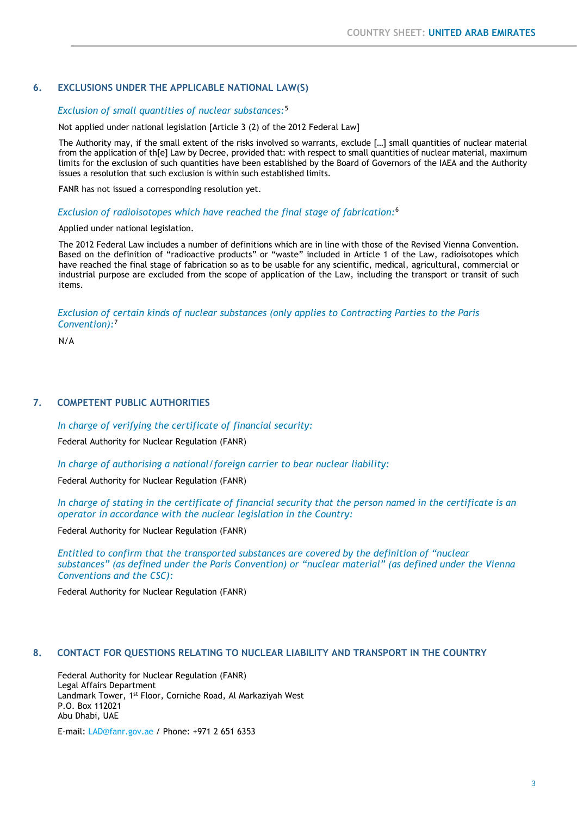# **6. EXCLUSIONS UNDER THE APPLICABLE NATIONAL LAW(S)**

## *Exclusion of small quantities of nuclear substances:*[5](#page-3-6)

Not applied under national legislation [Article 3 (2) of the 2012 Federal Law]

The Authority may, if the small extent of the risks involved so warrants, exclude […] small quantities of nuclear material from the application of th[e] Law by Decree, provided that: with respect to small quantities of nuclear material, maximum limits for the exclusion of such quantities have been established by the Board of Governors of the IAEA and the Authority issues a resolution that such exclusion is within such established limits.

FANR has not issued a corresponding resolution yet.

## *Exclusion of radioisotopes which have reached the final stage of fabrication:*[6](#page-3-7)

## Applied under national legislation.

The 2012 Federal Law includes a number of definitions which are in line with those of the Revised Vienna Convention. Based on the definition of "radioactive products" or "waste" included in Article 1 of the Law, radioisotopes which have reached the final stage of fabrication so as to be usable for any scientific, medical, agricultural, commercial or industrial purpose are excluded from the scope of application of the Law, including the transport or transit of such items.

## *Exclusion of certain kinds of nuclear substances (only applies to Contracting Parties to the Paris Convention):*[7](#page-3-8)

N/A

## **7. COMPETENT PUBLIC AUTHORITIES**

*In charge of verifying the certificate of financial security:* 

Federal Authority for Nuclear Regulation (FANR)

*In charge of authorising a national/foreign carrier to bear nuclear liability:* 

Federal Authority for Nuclear Regulation (FANR)

*In charge of stating in the certificate of financial security that the person named in the certificate is an operator in accordance with the nuclear legislation in the Country:* 

Federal Authority for Nuclear Regulation (FANR)

*Entitled to confirm that the transported substances are covered by the definition of "nuclear substances" (as defined under the Paris Convention) or "nuclear material" (as defined under the Vienna Conventions and the CSC):*

Federal Authority for Nuclear Regulation (FANR)

# **8. CONTACT FOR QUESTIONS RELATING TO NUCLEAR LIABILITY AND TRANSPORT IN THE COUNTRY**

Federal Authority for Nuclear Regulation (FANR) Legal Affairs Department Landmark Tower, 1st Floor, Corniche Road, Al Markaziyah West P.O. Box 112021 Abu Dhabi, UAE

E-mail: [LAD@fanr.gov.ae](mailto:LAD@fanr.gov.ae) / Phone: +971 2 651 6353